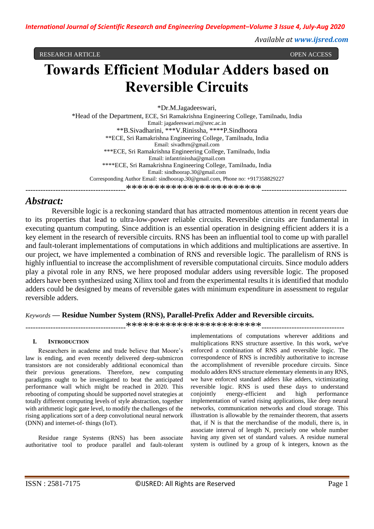*Available at [www.ijsred.com](http://www.ijsred.com/)*

RESEARCH ARTICLE **CONTRACT OPEN ACCESS** 

# **Towards Efficient Modular Adders based on Reversible Circuits**

\*Dr.M.Jagadeeswari, \*Head of the Department, ECE, Sri Ramakrishna Engineering College, Tamilnadu, India Email: jagadeeswari.m@srec.ac.in \*\*B.Sivadharini, \*\*\*V.Rinissha, \*\*\*\*P.Sindhoora \*\*ECE, Sri Ramakrishna Engineering College, Tamilnadu, India Email: sivadhrn@gmail.com \*\*\*ECE, Sri Ramakrishna Engineering College, Tamilnadu, India Email: infantrinissha@gmail.com \*\*\*\*ECE, Sri Ramakrishna Engineering College, Tamilnadu, India Email: sindhoorap.30@gmail.com Corresponding Author Email: sindhoorap.30@gmail.com, Phone no: +917358829227 ----------------------------------------\*\*\*\*\*\*\*\*\*\*\*\*\*\*\*\*\*\*\*\*\*\*\*\*----------------------------------

## *Abstract:*

 Reversible logic is a reckoning standard that has attracted momentous attention in recent years due to its properties that lead to ultra-low-power reliable circuits. Reversible circuits are fundamental in executing quantum computing. Since addition is an essential operation in designing efficient adders it is a key element in the research of reversible circuits. RNS has been an influential tool to come up with parallel and fault-tolerant implementations of computations in which additions and multiplications are assertive. In our project, we have implemented a combination of RNS and reversible logic. The parallelism of RNS is highly influential to increase the accomplishment of reversible computational circuits. Since modulo adders play a pivotal role in any RNS, we here proposed modular adders using reversible logic. The proposed adders have been synthesized using Xilinx tool and from the experimental results it is identified that modulo adders could be designed by means of reversible gates with minimum expenditure in assessment to regular reversible adders.

## *Keywords* **— Residue Number System (RNS), Parallel-Prefix Adder and Reversible circuits.**

----------------------------------------\*\*\*\*\*\*\*\*\*\*\*\*\*\*\*\*\*\*\*\*\*\*\*\*---------------------------------

## **I. INTRODUCTION**

Researchers in academe and trade believe that Moore's law is ending, and even recently delivered deep-submicron transistors are not considerably additional economical than their previous generations. Therefore, new computing paradigms ought to be investigated to beat the anticipated performance wall which might be reached in 2020. This rebooting of computing should be supported novel strategies at totally different computing levels of style abstraction, together with arithmetic logic gate level, to modify the challenges of the rising applications sort of a deep convolutional neural network (DNN) and internet-of- things (IoT).

Residue range Systems (RNS) has been associate authoritative tool to produce parallel and fault-tolerant

implementations of computations wherever additions and multiplications RNS structure assertive. In this work, we've enforced a combination of RNS and reversible logic. The correspondence of RNS is incredibly authoritative to increase the accomplishment of reversible procedure circuits. Since modulo adders RNS structure elementary elements in any RNS, we have enforced standard adders like adders, victimizating reversible logic. RNS is used these days to understand conjointly energy-efficient and high performance implementation of varied rising applications, like deep neural networks, communication networks and cloud storage. This illustration is allowable by the remainder theorem, that asserts that, if N is that the merchandise of the moduli, there is, in associate interval of length N, precisely one whole number having any given set of standard values. A residue numeral system is outlined by a group of k integers, known as the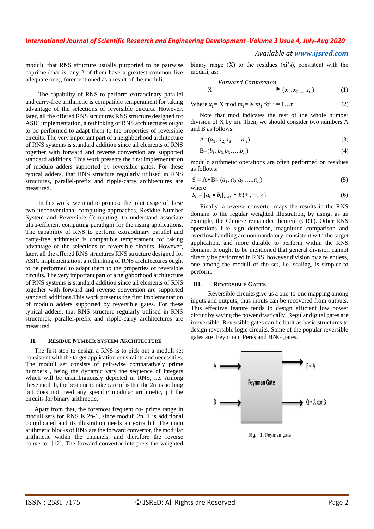where

## *Available at [www.ijsred.com](http://www.ijsred.com/)*

moduli, that RNS structure usually purported to be pairwise coprime (that is, any 2 of them have a greatest common live adequate one), forementioned as a result of the moduli.

The capability of RNS to perform extraodinary parallel and carry-free arithmetic is compatible temperament for taking advantage of the selections of reversible circuits. However, later, all the offered RNS structures RNS structure designed for ASIC implementation, a rethinking of RNS architectures ought to be performed to adapt them to the properties of reversible circuits. The very important part of a neighborhood architecture of RNS systems is standard addition since all elements of RNS together with forward and reverse conversion are supported standard additions. This work presents the first implementation of modulo adders supported by reversible gates. For these typical adders, that RNS structure regularly utilised in RNS structures, parallel-prefix and ripple-carry architectures are measured.

In this work, we tend to propose the joint usage of these two unconventional computing approaches, Residue Number System and Reversible Computing, to understand associate ultra-efficient computing paradigm for the rising applications. The capability of RNS to perform extraodinary parallel and carry-free arithmetic is compatible temperament for taking advantage of the selections of reversible circuits. However, later, all the offered RNS structures RNS structure designed for ASIC implementation, a rethinking of RNS architectures ought to be performed to adapt them to the properties of reversible circuits. The very important part of a neighborhood architecture of RNS systems is standard addition since all elements of RNS together with forward and reverse conversion are supported standard additions.This work presents the first implementation of modulo adders supported by reversible gates. For these typical adders, that RNS structure regularly utilised in RNS structures, parallel-prefix and ripple-carry architectures are measured

#### **II. RESIDUE NUMBER SYSTEM ARCHITECTURE**

The first step to design a RNS is to pick out a moduli set consistent with the target application constraints and necessities. The moduli set consists of pair-wise comparatively prime numbers , being the dynamic vary the sequence of integers which will be unambiguously depicted in RNS, i.e. Among these moduli, the best one to take care of is that the 2n, is nothing but does not need any specific modular arithmetic, jut the circuits for binary arithmetic.

Apart from that, the foremost frequent co- prime range in moduli sets for RNS is 2n-1, since moduli 2n+1 is additional complicated and its illustration needs an extra bit. The main arithmetic blocks of RNS are the forward convertor, the modular arithmetic within the channels, and therefore the reverse convertor [12]. The forward convertor interprets the weighted binary range  $(X)$  to the residues  $(xi's)$ , consistent with the moduli, as:

$$
X \xrightarrow{\text{Forward Conversion}} (x_1, x_{2,\dots, x_n}) \tag{1}
$$

Where 
$$
x_i = X \mod m_i = |X| m_i
$$
 for  $i = 1...n$  (2)

Note that mod indicates the rest of the whole number division of X by mi. Then, we should consider two numbers A and B as follows:

$$
A = (a_1, a_2, a_3, \dots, a_n) \tag{3}
$$

$$
B=(b_1, b_2, b_3, \dots, b_n) \tag{4}
$$

modulo arithmetic operations are often performed on residues as follows:

$$
S = A \cdot B = (a_1, a_2, a_3, \dots, a_n)
$$
 (5)

$$
S_i = |a_i \bullet b_i|_{m_i}, \bullet \in \{+, -, \times\}
$$
 (6)

 Finally, a reverse converter maps the results in the RNS domain to the regular weighted illustration, by using, as an example, the Chinese remainder theorem (CRT). Other RNS operations like sign detection, magnitude comparison and overflow handling are nonmandatory, consistent with the target application, and more durable to perform within the RNS domain. It ought to be mentioned that general division cannot directly be performed in RNS, however division by a relentless, one among the moduli of the set, i.e. scaling, is simpler to perform.

#### **III. REVERSIBLE GATES**

 Reversible circuits give us a one-to-one mapping among inputs and outputs, thus inputs can be recovered from outputs. This effective feature tends to design efficient low power circuit by saving the power drastically. Regular digital gates are irreversible. Reversible gates can be built as basic structures to design reversible logic circuits. Some of the popular reversible gates are Feynman, Peres and HNG gates.



Fig. 1. Feyman gate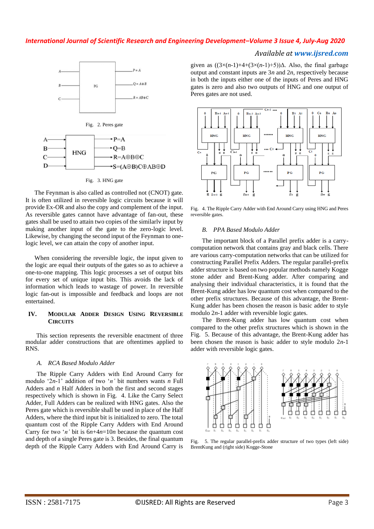

Fig. 3. HNG gate

The Feynman is also called as controlled not (CNOT) gate. It is often utilized in reversible logic circuits because it will provide Ex-OR and also the copy and complement of the input. As reversible gates cannot have advantage of fan-out, these gates shall be used to attain two copies of the similarlv input by making another input of the gate to the zero-logic level. Likewise, by changing the second input of the Feynman to onelogic level, we can attain the copy of another input.

When considering the reversible logic, the input given to the logic are equal their outputs of the gates so as to achieve a one-to-one mapping. This logic processes a set of output bits for every set of unique input bits. This avoids the lack of information which leads to wastage of power. In reversible logic fan-out is impossible and feedback and loops are not entertained.

### **IV. MODULAR ADDER DESIGN USING REVERSIBLE CIRCUITS**

 This section represents the reversible enactment of three modular adder constructions that are oftentimes applied to RNS.

#### *A. RCA Based Modulo Adder*

The Ripple Carry Adders with End Around Carry for modulo '2*n*-1' addition of two '*n'* bit numbers wants *n* Full Adders and *n* Half Adders in both the first and second stages respectively which is shown in Fig. 4. Like the Carry Select Adder, Full Adders can be realized with HNG gates. Also the Peres gate which is reversible shall be used in place of the Half Adders, where the third input bit is initialized to zero. The total quantum cost of the Ripple Carry Adders with End Around Carry for two '*n*' bit is  $6n+4n=10n$  because the quantum cost and depth of a single Peres gate is 3. Besides, the final quantum depth of the Ripple Carry Adders with End Around Carry is

## *Available at [www.ijsred.com](http://www.ijsred.com/)*

given as  $((3\times(n-1)+4+(3\times(n-1)+5))\Delta$ . Also, the final garbage output and constant inputs are 3*n* and 2*n*, respectively because in both the inputs either one of the inputs of Peres and HNG gates is zero and also two outputs of HNG and one output of Peres gates are not used.



Fig. 4. The Ripple Carry Adder with End Around Carry using HNG and Peres reversible gates.

#### *B. PPA Based Modulo Adder*

The important block of a Parallel prefix adder is a carrycomputation network that contains gray and black cells. There are various carry-computation networks that can be utilized for constructing Parallel Prefix Adders. The regular parallel-prefix adder structure is based on two popular methods namely Kogge stone adder and Brent-Kung adder. After comparing and analysing their individual characteristics, it is found that the Brent-Kung adder has low quantum cost when compared to the other prefix structures. Because of this advantage, the Brent-Kung adder has been chosen the reason is basic adder to style modulo 2*n*-1 adder with reversible logic gates.

The Brent-Kung adder has low quantum cost when compared to the other prefix structures which is shown in the Fig. 5. Because of this advantage, the Brent-Kung adder has been chosen the reason is basic adder to style modulo 2*n*-1 adder with reversible logic gates.



Fig. 5. The regular parallel-prefix adder structure of two types (left side) BrentKung and (right side) Kogge-Stone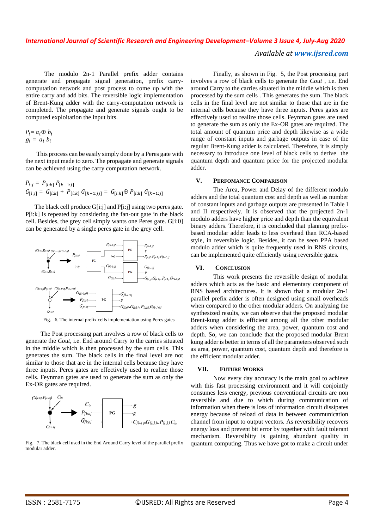## *Available at [www.ijsred.com](http://www.ijsred.com/)*

 The modulo 2n-1 Parallel prefix adder contains generate and propagate signal generation, prefix carrycomputation network and post process to come up with the entire carry and add bits. The reversible logic implementation of Brent-Kung adder with the carry-computation network is completed. The propagate and generate signals ought to be computed exploitation the input bits.

$$
P_i = a_i \oplus b_i
$$
  

$$
g_i = a_i b_i
$$

 This process can be easily simply done by a Peres gate with the next input made to zero. The propagate and generate signals can be achieved using the carry computation network.

$$
P_{i:j} = P_{[i:k]} P_{[k-1:j]}
$$
  
\n
$$
G_{[i:j]} = G_{[i:k]} + P_{[i:k]} G_{[k-1:jj]} = G_{[i:k]} \oplus P_{[i:k]} G_{[k-1:j]}
$$

The black cell produce G[i:j] and P[i:j] using two peres gate. P[i:k] is repeated by considering the fan-out gate in the black cell. Besides, the grey cell simply wants one Peres gate. G[i:0] can be generated by a single peres gate in the grey cell.



Fig. 6. The internal prefix cells implementation using Peres gates

 The Post processing part involves a row of black cells to generate the *Cout*, i.e. End around Carry to the carries situated in the middle which is then processed by the sum cells. This generates the sum. The black cells in the final level are not similar to those that are in the internal cells because they have three inputs. Peres gates are effectively used to realize those cells. Feynman gates are used to generate the sum as only the Ex-OR gates are required.



Fig. 7. The black cell used in the End Around Carry level of the parallel prefix modular adder.

Finally, as shown in Fig. 5, the Post processing part involves a row of black cells to generate the *Cout* , i.e. End around Carry to the carries situated in the middle which is then processed by the sum cells . This generates the sum. The black cells in the final level are not similar to those that are in the internal cells because they have three inputs. Peres gates are effectively used to realize those cells. Feynman gates are used to generate the sum as only the Ex-OR gates are required. The total amount of quantum price and depth likewise as a wide range of constant inputs and garbage outputs in case of the regular Brent-Kung adder is calculated. Therefore, it is simply necessary to introduce one level of black cells to derive the quantum depth and quantum price for the projected modular adder.

#### **V. PERFOMANCE COMPARISON**

The Area, Power and Delay of the different modulo adders and the total quantum cost and depth as well as number of constant inputs and garbage outputs are presented in Table I and II respectively. It is observed that the projected 2n-1 modulo adders have higher price and depth than the equivalent binary adders. Therefore, it is concluded that planning prefixbased modular adder leads to less overhead than RCA-based style, in reversible logic. Besides, it can be seen PPA based modulo adder which is quite frequently used in RNS circuits, can be implemented quite efficiently using reversible gates.

#### **VI. CONCLUSION**

This work presents the reversible design of modular adders which acts as the basic and elementary component of RNS based architectures. It is shown that a modular 2n-1 parallel prefix adder is often designed using small overheads when compared to the other modular adders. On analyzing the synthesized results, we can observe that the proposed modular Brent-kung adder is efficient among all the other modular adders when considering the area, power, quantum cost and depth. So, we can conclude that the proposed modular Brent kung adder is better in terms of all the parameters observed such as area, power, quantum cost, quantum depth and therefore is the efficient modular adder.

### **VII. FUTURE WORKS**

Now every day accuracy is the main goal to achieve with this fast processing environment and it will conjointly consumes less energy, previous conventional circuits are non reversible and due to which during communication of information when there is loss of information circuit dissipates energy because of reload of data in between communication channel from input to output vectors. As reversibility recovers energy loss and prevent bit error by together with fault tolerant mechanism. Reversiblity is gaining abundant quality in quantum computing. Thus we have got to make a circuit under